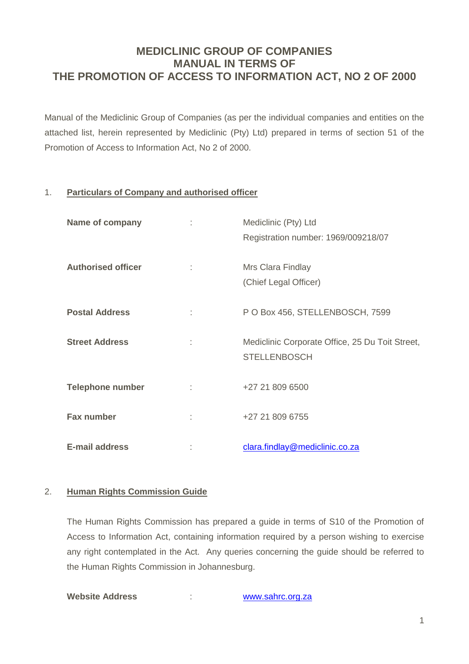# **MEDICLINIC GROUP OF COMPANIES MANUAL IN TERMS OF THE PROMOTION OF ACCESS TO INFORMATION ACT, NO 2 OF 2000**

Manual of the Mediclinic Group of Companies (as per the individual companies and entities on the attached list, herein represented by Mediclinic (Pty) Ltd) prepared in terms of section 51 of the Promotion of Access to Information Act, No 2 of 2000.

## 1. **Particulars of Company and authorised officer**

| <b>Name of company</b>    |   | Mediclinic (Pty) Ltd<br>Registration number: 1969/009218/07            |
|---------------------------|---|------------------------------------------------------------------------|
| <b>Authorised officer</b> |   | Mrs Clara Findlay<br>(Chief Legal Officer)                             |
| <b>Postal Address</b>     | t | P O Box 456, STELLENBOSCH, 7599                                        |
| <b>Street Address</b>     |   | Mediclinic Corporate Office, 25 Du Toit Street,<br><b>STELLENBOSCH</b> |
| <b>Telephone number</b>   | ÷ | +27 21 809 6500                                                        |
| <b>Fax number</b>         | t | +27 21 809 6755                                                        |
| <b>E-mail address</b>     |   | clara.findlay@mediclinic.co.za                                         |

#### 2. **Human Rights Commission Guide**

The Human Rights Commission has prepared a guide in terms of S10 of the Promotion of Access to Information Act, containing information required by a person wishing to exercise any right contemplated in the Act. Any queries concerning the guide should be referred to the Human Rights Commission in Johannesburg.

**Website Address** : [www.sahrc.org.za](http://www.sahrc.org.za/)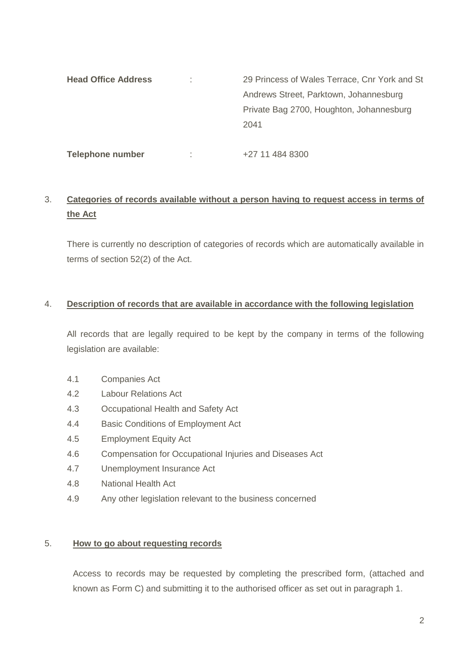| <b>Head Office Address</b> |   | 29 Princess of Wales Terrace, Cnr York and St |  |
|----------------------------|---|-----------------------------------------------|--|
|                            |   | Andrews Street, Parktown, Johannesburg        |  |
|                            |   | Private Bag 2700, Houghton, Johannesburg      |  |
|                            |   | 2041                                          |  |
|                            |   |                                               |  |
| <b>Telephone number</b>    | t | +27 11 484 8300                               |  |

# 3. **Categories of records available without a person having to request access in terms of the Act**

There is currently no description of categories of records which are automatically available in terms of section 52(2) of the Act.

## 4. **Description of records that are available in accordance with the following legislation**

All records that are legally required to be kept by the company in terms of the following legislation are available:

- 4.1 Companies Act
- 4.2 Labour Relations Act
- 4.3 Occupational Health and Safety Act
- 4.4 Basic Conditions of Employment Act
- 4.5 Employment Equity Act
- 4.6 Compensation for Occupational Injuries and Diseases Act
- 4.7 Unemployment Insurance Act
- 4.8 National Health Act
- 4.9 Any other legislation relevant to the business concerned

#### 5. **How to go about requesting records**

Access to records may be requested by completing the prescribed form, (attached and known as Form C) and submitting it to the authorised officer as set out in paragraph 1.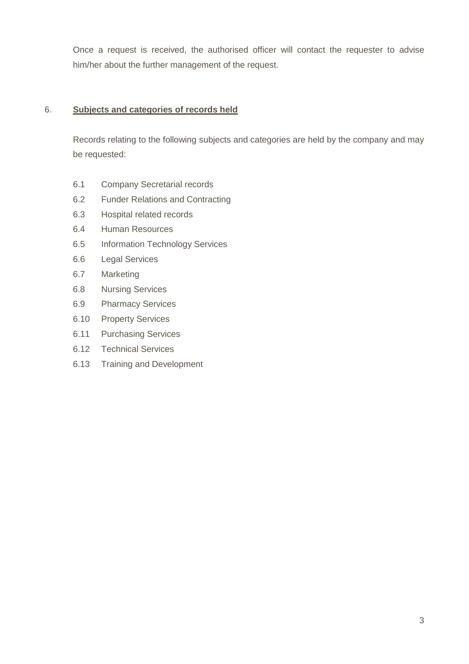Once a request is received, the authorised officer will contact the requester to advise him/her about the further management of the request.

## 6. **Subjects and categories of records held**

Records relating to the following subjects and categories are held by the company and may be requested:

- 6.1 Company Secretarial records
- 6.2 Funder Relations and Contracting
- 6.3 Hospital related records
- 6.4 Human Resources
- 6.5 Information Technology Services
- 6.6 Legal Services
- 6.7 Marketing
- 6.8 Nursing Services
- 6.9 Pharmacy Services
- 6.10 Property Services
- 6.11 Purchasing Services
- 6.12 Technical Services
- 6.13 Training and Development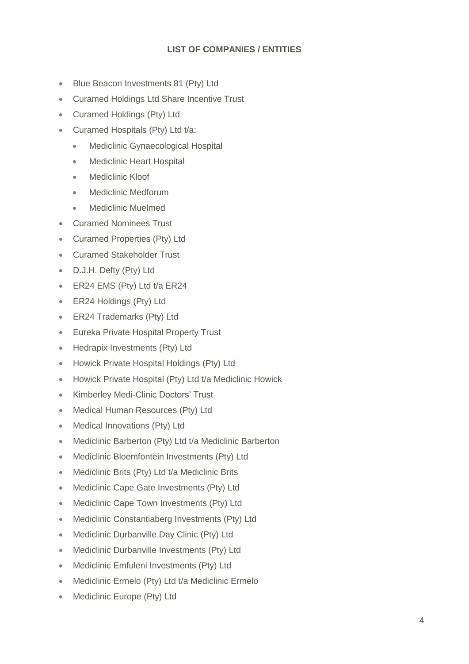## **LIST OF COMPANIES / ENTITIES**

- Blue Beacon Investments 81 (Ptv) Ltd
- Curamed Holdings Ltd Share Incentive Trust
- Curamed Holdings (Pty) Ltd
- Curamed Hospitals (Pty) Ltd t/a:
	- Mediclinic Gynaecological Hospital
	- Mediclinic Heart Hospital
	- Mediclinic Kloof
	- Mediclinic Medforum
	- Mediclinic Muelmed
- Curamed Nominees Trust
- Curamed Properties (Pty) Ltd
- Curamed Stakeholder Trust
- D.J.H. Defty (Pty) Ltd
- **ER24 EMS (Pty) Ltd t/a ER24**
- ER24 Holdings (Pty) Ltd
- ER24 Trademarks (Ptv) Ltd
- **Eureka Private Hospital Property Trust**
- Hedrapix Investments (Ptv) Ltd
- Howick Private Hospital Holdings (Pty) Ltd
- **Howick Private Hospital (Pty) Ltd t/a Mediclinic Howick**
- Kimberley Medi-Clinic Doctors' Trust
- Medical Human Resources (Pty) Ltd
- Medical Innovations (Pty) Ltd
- Mediclinic Barberton (Pty) Ltd t/a Mediclinic Barberton
- Mediclinic Bloemfontein Investments (Pty) Ltd
- Mediclinic Brits (Pty) Ltd t/a Mediclinic Brits
- Mediclinic Cape Gate Investments (Pty) Ltd
- Mediclinic Cape Town Investments (Pty) Ltd
- Mediclinic Constantiaberg Investments (Pty) Ltd
- Mediclinic Durbanville Day Clinic (Pty) Ltd
- Mediclinic Durbanville Investments (Ptv) Ltd
- **Mediclinic Emfuleni Investments (Pty) Ltd**
- Mediclinic Ermelo (Pty) Ltd t/a Mediclinic Ermelo
- Mediclinic Europe (Pty) Ltd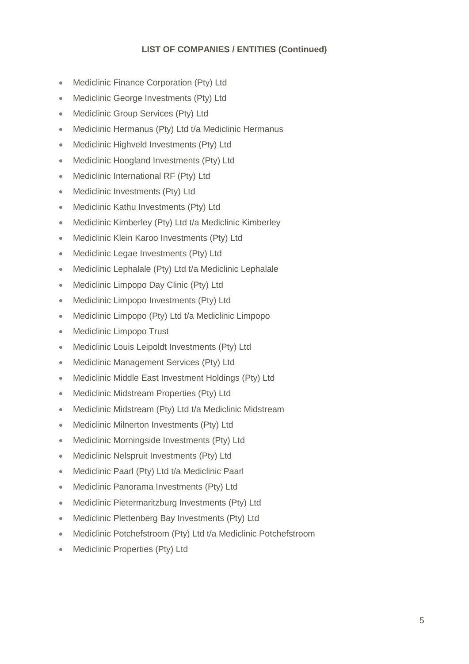## **LIST OF COMPANIES / ENTITIES (Continued)**

- Mediclinic Finance Corporation (Ptv) Ltd
- Mediclinic George Investments (Pty) Ltd
- **Mediclinic Group Services (Pty) Ltd**
- Mediclinic Hermanus (Pty) Ltd t/a Mediclinic Hermanus
- **Mediclinic Highveld Investments (Pty) Ltd**
- Mediclinic Hoogland Investments (Pty) Ltd
- Mediclinic International RF (Pty) Ltd
- Mediclinic Investments (Pty) Ltd
- Mediclinic Kathu Investments (Pty) Ltd
- Mediclinic Kimberley (Pty) Ltd t/a Mediclinic Kimberley
- **Mediclinic Klein Karoo Investments (Ptv) Ltd**
- Mediclinic Legae Investments (Pty) Ltd
- Mediclinic Lephalale (Pty) Ltd t/a Mediclinic Lephalale
- Mediclinic Limpopo Day Clinic (Pty) Ltd
- **Mediclinic Limpopo Investments (Pty) Ltd**
- Mediclinic Limpopo (Pty) Ltd t/a Mediclinic Limpopo
- Mediclinic Limpopo Trust
- Mediclinic Louis Leipoldt Investments (Pty) Ltd
- Mediclinic Management Services (Pty) Ltd
- Mediclinic Middle East Investment Holdings (Pty) Ltd
- Mediclinic Midstream Properties (Pty) Ltd
- Mediclinic Midstream (Pty) Ltd t/a Mediclinic Midstream
- **Mediclinic Milnerton Investments (Ptv) Ltd**
- Mediclinic Morningside Investments (Pty) Ltd
- Mediclinic Nelspruit Investments (Pty) Ltd
- Mediclinic Paarl (Pty) Ltd t/a Mediclinic Paarl
- Mediclinic Panorama Investments (Pty) Ltd
- Mediclinic Pietermaritzburg Investments (Pty) Ltd
- Mediclinic Plettenberg Bay Investments (Pty) Ltd
- Mediclinic Potchefstroom (Pty) Ltd t/a Mediclinic Potchefstroom
- Mediclinic Properties (Ptv) Ltd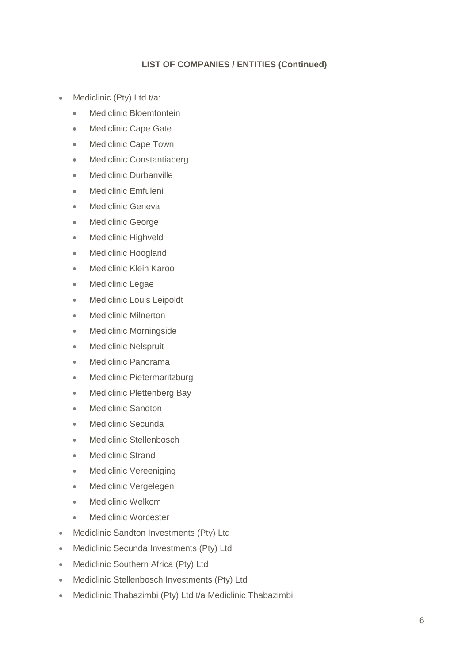## **LIST OF COMPANIES / ENTITIES (Continued)**

- Mediclinic (Pty) Ltd t/a:
	- Mediclinic Bloemfontein
	- Mediclinic Cape Gate
	- Mediclinic Cape Town
	- Mediclinic Constantiaberg
	- Mediclinic Durbanville
	- **Mediclinic Emfuleni**
	- Mediclinic Geneva
	- Mediclinic George
	- Mediclinic Highveld
	- Mediclinic Hoogland
	- Mediclinic Klein Karoo
	- Mediclinic Legae
	- Mediclinic Louis Leipoldt
	- Mediclinic Milnerton
	- Mediclinic Morningside
	- Mediclinic Nelspruit
	- Mediclinic Panorama
	- Mediclinic Pietermaritzburg
	- Mediclinic Plettenberg Bay
	- Mediclinic Sandton
	- Mediclinic Secunda
	- Mediclinic Stellenbosch
	- Mediclinic Strand
	- Mediclinic Vereeniging
	- Mediclinic Vergelegen
	- Mediclinic Welkom
	- Mediclinic Worcester
- **Mediclinic Sandton Investments (Pty) Ltd**
- Mediclinic Secunda Investments (Pty) Ltd
- Mediclinic Southern Africa (Pty) Ltd
- Mediclinic Stellenbosch Investments (Pty) Ltd
- Mediclinic Thabazimbi (Pty) Ltd t/a Mediclinic Thabazimbi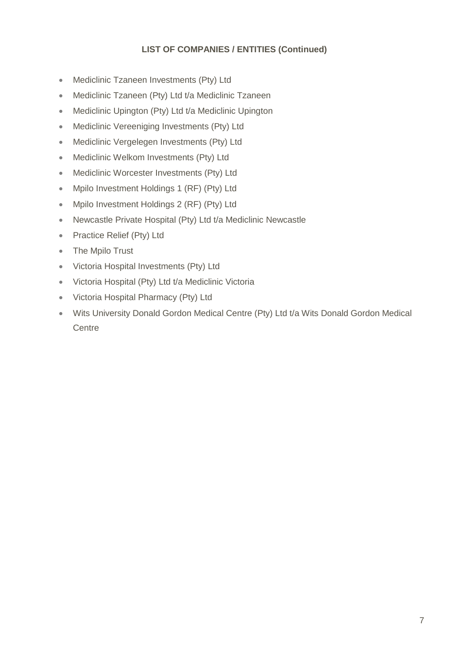## **LIST OF COMPANIES / ENTITIES (Continued)**

- Mediclinic Tzaneen Investments (Pty) Ltd
- Mediclinic Tzaneen (Pty) Ltd t/a Mediclinic Tzaneen
- Mediclinic Upington (Pty) Ltd t/a Mediclinic Upington
- Mediclinic Vereeniging Investments (Pty) Ltd
- Mediclinic Vergelegen Investments (Pty) Ltd
- Mediclinic Welkom Investments (Pty) Ltd
- Mediclinic Worcester Investments (Pty) Ltd
- Mpilo Investment Holdings 1 (RF) (Pty) Ltd
- Mpilo Investment Holdings 2 (RF) (Pty) Ltd
- Newcastle Private Hospital (Pty) Ltd t/a Mediclinic Newcastle
- Practice Relief (Pty) Ltd
- The Mpilo Trust
- Victoria Hospital Investments (Pty) Ltd
- Victoria Hospital (Pty) Ltd t/a Mediclinic Victoria
- Victoria Hospital Pharmacy (Pty) Ltd
- Wits University Donald Gordon Medical Centre (Pty) Ltd t/a Wits Donald Gordon Medical **Centre**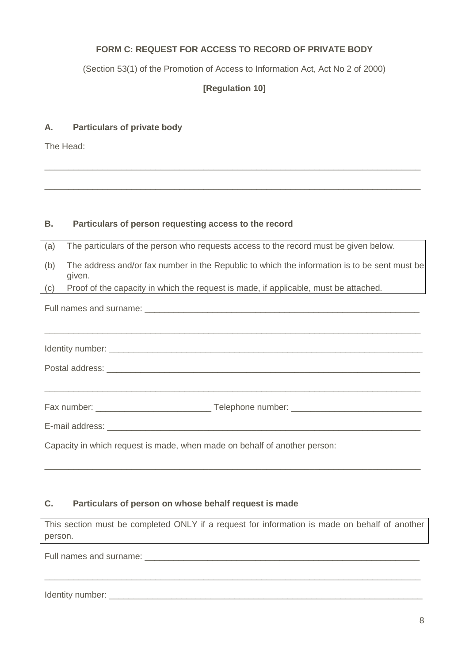## **FORM C: REQUEST FOR ACCESS TO RECORD OF PRIVATE BODY**

(Section 53(1) of the Promotion of Access to Information Act, Act No 2 of 2000)

**[Regulation 10]**

\_\_\_\_\_\_\_\_\_\_\_\_\_\_\_\_\_\_\_\_\_\_\_\_\_\_\_\_\_\_\_\_\_\_\_\_\_\_\_\_\_\_\_\_\_\_\_\_\_\_\_\_\_\_\_\_\_\_\_\_\_\_\_\_\_\_\_\_\_\_\_\_\_\_\_\_\_\_

\_\_\_\_\_\_\_\_\_\_\_\_\_\_\_\_\_\_\_\_\_\_\_\_\_\_\_\_\_\_\_\_\_\_\_\_\_\_\_\_\_\_\_\_\_\_\_\_\_\_\_\_\_\_\_\_\_\_\_\_\_\_\_\_\_\_\_\_\_\_\_\_\_\_\_\_\_\_

#### **A. Particulars of private body**

The Head:

### **B. Particulars of person requesting access to the record**

| (a)               | The particulars of the person who requests access to the record must be given below.                   |  |  |  |
|-------------------|--------------------------------------------------------------------------------------------------------|--|--|--|
| (b)               | The address and/or fax number in the Republic to which the information is to be sent must be<br>given. |  |  |  |
| $\left( c\right)$ | Proof of the capacity in which the request is made, if applicable, must be attached.                   |  |  |  |
|                   |                                                                                                        |  |  |  |
|                   |                                                                                                        |  |  |  |
|                   |                                                                                                        |  |  |  |
|                   |                                                                                                        |  |  |  |
|                   |                                                                                                        |  |  |  |
|                   |                                                                                                        |  |  |  |
|                   | Capacity in which request is made, when made on behalf of another person:                              |  |  |  |

#### **C. Particulars of person on whose behalf request is made**

This section must be completed ONLY if a request for information is made on behalf of another person.

\_\_\_\_\_\_\_\_\_\_\_\_\_\_\_\_\_\_\_\_\_\_\_\_\_\_\_\_\_\_\_\_\_\_\_\_\_\_\_\_\_\_\_\_\_\_\_\_\_\_\_\_\_\_\_\_\_\_\_\_\_\_\_\_\_\_\_\_\_\_\_\_\_\_\_\_\_\_

\_\_\_\_\_\_\_\_\_\_\_\_\_\_\_\_\_\_\_\_\_\_\_\_\_\_\_\_\_\_\_\_\_\_\_\_\_\_\_\_\_\_\_\_\_\_\_\_\_\_\_\_\_\_\_\_\_\_\_\_\_\_\_\_\_\_\_\_\_\_\_\_\_\_\_\_\_\_

Full names and surname:

Identity number: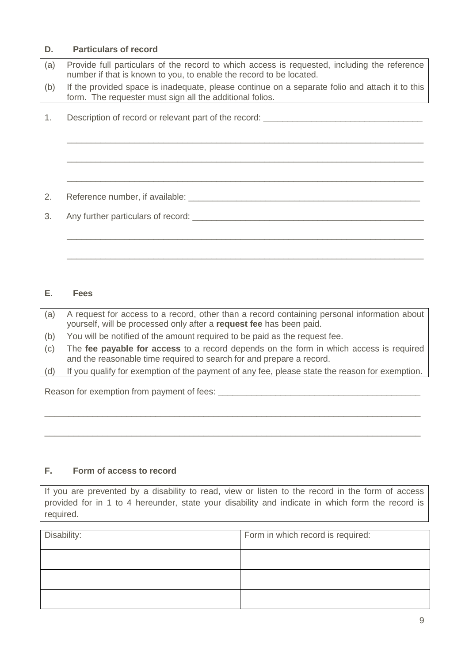#### **D. Particulars of record**

(a) Provide full particulars of the record to which access is requested, including the reference number if that is known to you, to enable the record to be located. (b) If the provided space is inadequate, please continue on a separate folio and attach it to this form. The requester must sign all the additional folios.

\_\_\_\_\_\_\_\_\_\_\_\_\_\_\_\_\_\_\_\_\_\_\_\_\_\_\_\_\_\_\_\_\_\_\_\_\_\_\_\_\_\_\_\_\_\_\_\_\_\_\_\_\_\_\_\_\_\_\_\_\_\_\_\_\_\_\_\_\_\_\_\_\_\_

\_\_\_\_\_\_\_\_\_\_\_\_\_\_\_\_\_\_\_\_\_\_\_\_\_\_\_\_\_\_\_\_\_\_\_\_\_\_\_\_\_\_\_\_\_\_\_\_\_\_\_\_\_\_\_\_\_\_\_\_\_\_\_\_\_\_\_\_\_\_\_\_\_\_

\_\_\_\_\_\_\_\_\_\_\_\_\_\_\_\_\_\_\_\_\_\_\_\_\_\_\_\_\_\_\_\_\_\_\_\_\_\_\_\_\_\_\_\_\_\_\_\_\_\_\_\_\_\_\_\_\_\_\_\_\_\_\_\_\_\_\_\_\_\_\_\_\_\_

\_\_\_\_\_\_\_\_\_\_\_\_\_\_\_\_\_\_\_\_\_\_\_\_\_\_\_\_\_\_\_\_\_\_\_\_\_\_\_\_\_\_\_\_\_\_\_\_\_\_\_\_\_\_\_\_\_\_\_\_\_\_\_\_\_\_\_\_\_\_\_\_\_\_

\_\_\_\_\_\_\_\_\_\_\_\_\_\_\_\_\_\_\_\_\_\_\_\_\_\_\_\_\_\_\_\_\_\_\_\_\_\_\_\_\_\_\_\_\_\_\_\_\_\_\_\_\_\_\_\_\_\_\_\_\_\_\_\_\_\_\_\_\_\_\_\_\_\_

1. Description of record or relevant part of the record:

2. Reference number, if available: \_\_\_\_\_\_\_\_\_\_\_\_\_\_\_\_\_\_\_\_\_\_\_\_\_\_\_\_\_\_\_\_\_\_\_\_\_\_\_\_\_\_\_\_\_\_\_\_

3. Any further particulars of record:  $\Box$ 

#### **E. Fees**

(a) A request for access to a record, other than a record containing personal information about yourself, will be processed only after a **request fee** has been paid.

- (b) You will be notified of the amount required to be paid as the request fee.
- (c) The **fee payable for access** to a record depends on the form in which access is required and the reasonable time required to search for and prepare a record.
- (d) If you qualify for exemption of the payment of any fee, please state the reason for exemption.

\_\_\_\_\_\_\_\_\_\_\_\_\_\_\_\_\_\_\_\_\_\_\_\_\_\_\_\_\_\_\_\_\_\_\_\_\_\_\_\_\_\_\_\_\_\_\_\_\_\_\_\_\_\_\_\_\_\_\_\_\_\_\_\_\_\_\_\_\_\_\_\_\_\_\_\_\_\_

\_\_\_\_\_\_\_\_\_\_\_\_\_\_\_\_\_\_\_\_\_\_\_\_\_\_\_\_\_\_\_\_\_\_\_\_\_\_\_\_\_\_\_\_\_\_\_\_\_\_\_\_\_\_\_\_\_\_\_\_\_\_\_\_\_\_\_\_\_\_\_\_\_\_\_\_\_\_

Reason for exemption from payment of fees: \_\_\_\_\_\_\_\_\_\_\_\_\_\_\_\_\_\_\_\_\_\_\_\_\_\_\_\_\_\_\_\_\_\_\_\_\_\_\_\_\_\_

## **F. Form of access to record**

If you are prevented by a disability to read, view or listen to the record in the form of access provided for in 1 to 4 hereunder, state your disability and indicate in which form the record is required.

| Disability: | Form in which record is required: |
|-------------|-----------------------------------|
|             |                                   |
|             |                                   |
|             |                                   |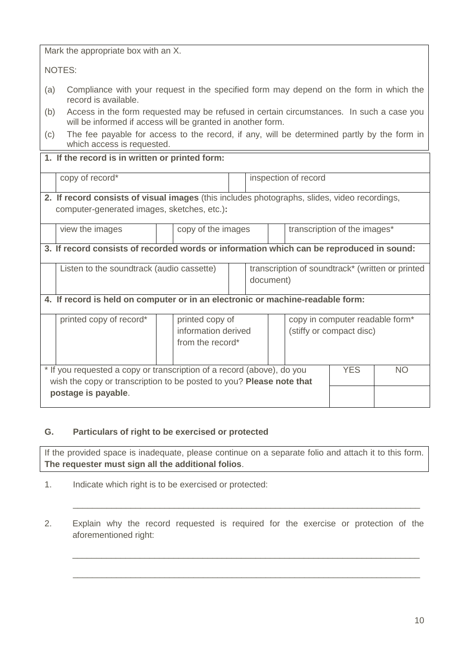Mark the appropriate box with an X.

NOTES:

- (a) Compliance with your request in the specified form may depend on the form in which the record is available.
- (b) Access in the form requested may be refused in certain circumstances. In such a case you will be informed if access will be granted in another form.
- (c) The fee payable for access to the record, if any, will be determined partly by the form in which access is requested.

## **1. If the record is in written or printed form:**

copy of record<sup>\*</sup> inspection of record **2. If record consists of visual images** (this includes photographs, slides, video recordings, computer-generated images, sketches, etc.)**:** view the images and copy of the images the interval transcription of the images<sup>\*</sup> **3. If record consists of recorded words or information which can be reproduced in sound:** Listen to the soundtrack (audio cassette)  $\|\cdot\|$  transcription of soundtrack\* (written or printed document) **4. If record is held on computer or in an electronic or machine-readable form:** printed copy of record\* | printed copy of information derived from the record\* copy in computer readable form\* (stiffy or compact disc) \* If you requested a copy or transcription of a record (above), do you wish the copy or transcription to be posted to you? **Please note that postage is payable**. YES NO

## **G. Particulars of right to be exercised or protected**

If the provided space is inadequate, please continue on a separate folio and attach it to this form. **The requester must sign all the additional folios**.

- 1. Indicate which right is to be exercised or protected:
- 2. Explain why the record requested is required for the exercise or protection of the aforementioned right:

 $\_$  , and the set of the set of the set of the set of the set of the set of the set of the set of the set of the set of the set of the set of the set of the set of the set of the set of the set of the set of the set of th

\_\_\_\_\_\_\_\_\_\_\_\_\_\_\_\_\_\_\_\_\_\_\_\_\_\_\_\_\_\_\_\_\_\_\_\_\_\_\_\_\_\_\_\_\_\_\_\_\_\_\_\_\_\_\_\_\_\_\_\_\_\_\_\_\_\_\_\_\_\_\_\_

\_\_\_\_\_\_\_\_\_\_\_\_\_\_\_\_\_\_\_\_\_\_\_\_\_\_\_\_\_\_\_\_\_\_\_\_\_\_\_\_\_\_\_\_\_\_\_\_\_\_\_\_\_\_\_\_\_\_\_\_\_\_\_\_\_\_\_\_\_\_\_\_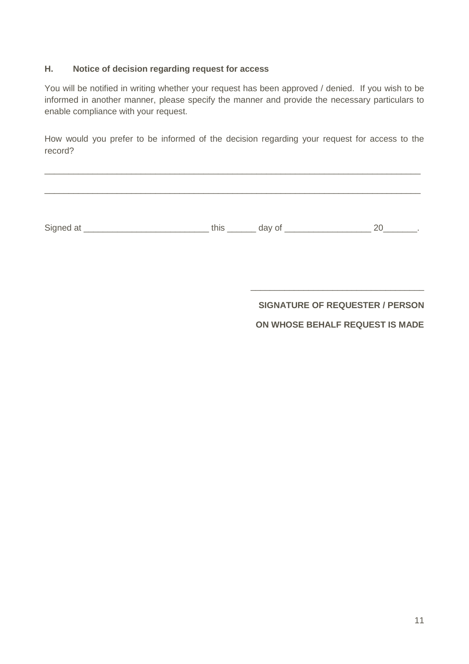#### **H. Notice of decision regarding request for access**

You will be notified in writing whether your request has been approved / denied. If you wish to be informed in another manner, please specify the manner and provide the necessary particulars to enable compliance with your request.

How would you prefer to be informed of the decision regarding your request for access to the record?

\_\_\_\_\_\_\_\_\_\_\_\_\_\_\_\_\_\_\_\_\_\_\_\_\_\_\_\_\_\_\_\_\_\_\_\_\_\_\_\_\_\_\_\_\_\_\_\_\_\_\_\_\_\_\_\_\_\_\_\_\_\_\_\_\_\_\_\_\_\_\_\_\_\_\_\_\_\_

| Signed at | this | day of |  |
|-----------|------|--------|--|

**SIGNATURE OF REQUESTER / PERSON**

\_\_\_\_\_\_\_\_\_\_\_\_\_\_\_\_\_\_\_\_\_\_\_\_\_\_\_\_\_\_\_\_\_\_\_\_

## **ON WHOSE BEHALF REQUEST IS MADE**